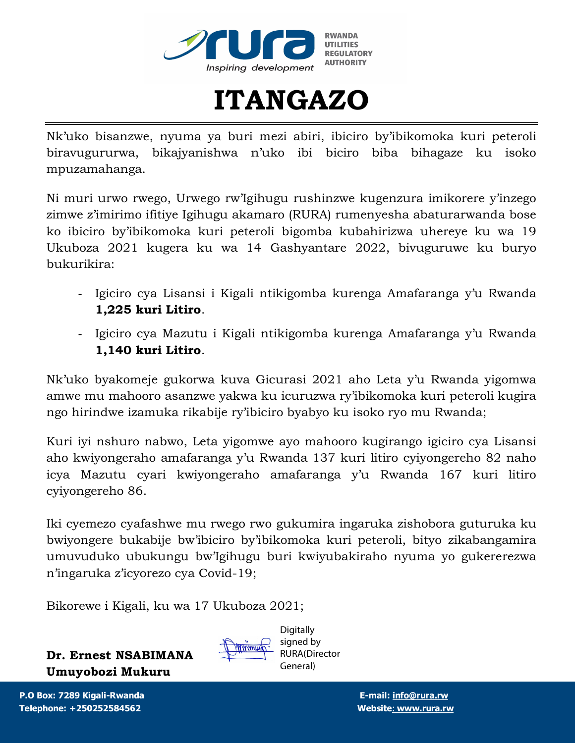



Nk'uko bisanzwe, nyuma ya buri mezi abiri, ibiciro by'ibikomoka kuri peteroli biravugururwa, bikajyanishwa n'uko ibi biciro biba bihagaze ku isoko mpuzamahanga.

Ni muri urwo rwego, Urwego rw'Igihugu rushinzwe kugenzura imikorere y'inzego zimwe z'imirimo ifitiye Igihugu akamaro (RURA) rumenyesha abaturarwanda bose ko ibiciro by'ibikomoka kuri peteroli bigomba kubahirizwa uhereye ku wa 19 Ukuboza 2021 kugera ku wa 14 Gashyantare 2022, bivuguruwe ku buryo bukurikira:

- Igiciro cya Lisansi i Kigali ntikigomba kurenga Amafaranga y'u Rwanda **1,225 kuri Litiro**.
- Igiciro cya Mazutu i Kigali ntikigomba kurenga Amafaranga y'u Rwanda **1,140 kuri Litiro**.

Nk'uko byakomeje gukorwa kuva Gicurasi 2021 aho Leta y'u Rwanda yigomwa amwe mu mahooro asanzwe yakwa ku icuruzwa ry'ibikomoka kuri peteroli kugira ngo hirindwe izamuka rikabije ry'ibiciro byabyo ku isoko ryo mu Rwanda;

Kuri iyi nshuro nabwo, Leta yigomwe ayo mahooro kugirango igiciro cya Lisansi aho kwiyongeraho amafaranga y'u Rwanda 137 kuri litiro cyiyongereho 82 naho icya Mazutu cyari kwiyongeraho amafaranga y'u Rwanda 167 kuri litiro cyiyongereho 86.

Iki cyemezo cyafashwe mu rwego rwo gukumira ingaruka zishobora guturuka ku bwiyongere bukabije bw'ibiciro by'ibikomoka kuri peteroli, bityo zikabangamira umuvuduko ubukungu bw'Igihugu buri kwiyubakiraho nyuma yo gukererezwa n'ingaruka z'icyorezo cya Covid-19;

Bikorewe i Kigali, ku wa 17 Ukuboza 2021;

**Dr. Ernest NSABIMANA Umuyobozi Mukuru**



**Digitally** signed by RURA(Director General)